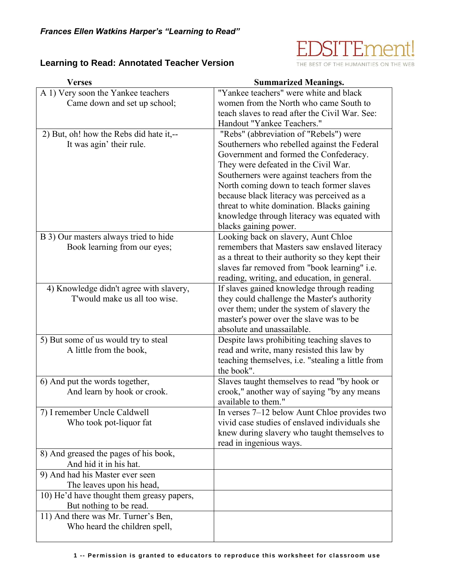

THE BEST OF THE HUMANITIES ON THE WEB

## **Learning to Read: Annotated Teacher Version**

| <b>Verses</b>                                                         | <b>Summarized Meanings.</b>                                  |
|-----------------------------------------------------------------------|--------------------------------------------------------------|
| A 1) Very soon the Yankee teachers                                    | "Yankee teachers" were white and black                       |
| Came down and set up school;                                          | women from the North who came South to                       |
|                                                                       | teach slaves to read after the Civil War. See:               |
|                                                                       | Handout "Yankee Teachers."                                   |
| 2) But, oh! how the Rebs did hate it,--                               | "Rebs" (abbreviation of "Rebels") were                       |
| It was agin' their rule.                                              | Southerners who rebelled against the Federal                 |
|                                                                       | Government and formed the Confederacy.                       |
|                                                                       | They were defeated in the Civil War.                         |
|                                                                       | Southerners were against teachers from the                   |
|                                                                       | North coming down to teach former slaves                     |
|                                                                       | because black literacy was perceived as a                    |
|                                                                       | threat to white domination. Blacks gaining                   |
|                                                                       | knowledge through literacy was equated with                  |
|                                                                       | blacks gaining power.<br>Looking back on slavery, Aunt Chloe |
| B 3) Our masters always tried to hide<br>Book learning from our eyes; | remembers that Masters saw enslaved literacy                 |
|                                                                       | as a threat to their authority so they kept their            |
|                                                                       | slaves far removed from "book learning" i.e.                 |
|                                                                       | reading, writing, and education, in general.                 |
| 4) Knowledge didn't agree with slavery,                               | If slaves gained knowledge through reading                   |
| T'would make us all too wise.                                         | they could challenge the Master's authority                  |
|                                                                       | over them; under the system of slavery the                   |
|                                                                       | master's power over the slave was to be                      |
|                                                                       | absolute and unassailable.                                   |
| 5) But some of us would try to steal                                  | Despite laws prohibiting teaching slaves to                  |
| A little from the book,                                               | read and write, many resisted this law by                    |
|                                                                       | teaching themselves, <i>i.e.</i> "stealing a little from     |
|                                                                       | the book".                                                   |
| 6) And put the words together,                                        | Slaves taught themselves to read "by hook or                 |
| And learn by hook or crook.                                           | crook," another way of saying "by any means                  |
|                                                                       | available to them."                                          |
| 7) I remember Uncle Caldwell                                          | In verses 7–12 below Aunt Chloe provides two                 |
| Who took pot-liquor fat                                               | vivid case studies of enslaved individuals she               |
|                                                                       | knew during slavery who taught themselves to                 |
|                                                                       | read in ingenious ways.                                      |
| 8) And greased the pages of his book,                                 |                                                              |
| And hid it in his hat.                                                |                                                              |
| 9) And had his Master ever seen                                       |                                                              |
| The leaves upon his head,                                             |                                                              |
| 10) He'd have thought them greasy papers,                             |                                                              |
| But nothing to be read.                                               |                                                              |
| 11) And there was Mr. Turner's Ben,                                   |                                                              |
| Who heard the children spell,                                         |                                                              |
|                                                                       |                                                              |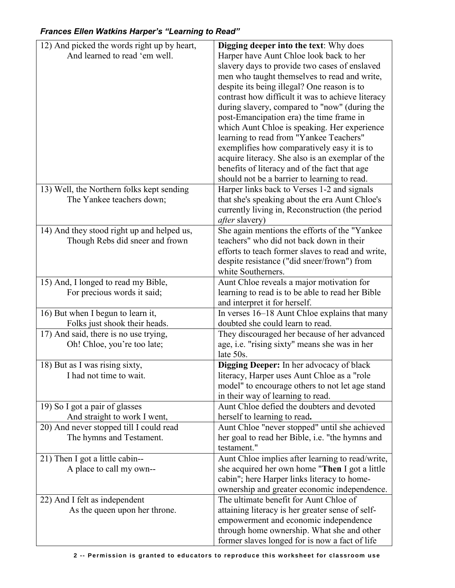## 12) And picked the words right up by heart, And learned to read 'em well. **Digging deeper into the text**: Why does Harper have Aunt Chloe look back to her slavery days to provide two cases of enslaved men who taught themselves to read and write, despite its being illegal? One reason is to contrast how difficult it was to achieve literacy during slavery, compared to "now" (during the post-Emancipation era) the time frame in which Aunt Chloe is speaking. Her experience learning to read from "Yankee Teachers" exemplifies how comparatively easy it is to acquire literacy. She also is an exemplar of the benefits of literacy and of the fact that age should not be a barrier to learning to read. 13) Well, the Northern folks kept sending The Yankee teachers down; Harper links back to Verses 1-2 and signals that she's speaking about the era Aunt Chloe's currently living in, Reconstruction (the period *after* slavery) 14) And they stood right up and helped us, Though Rebs did sneer and frown She again mentions the efforts of the "Yankee teachers" who did not back down in their efforts to teach former slaves to read and write, despite resistance ("did sneer/frown") from white Southerners. 15) And, I longed to read my Bible, For precious words it said; Aunt Chloe reveals a major motivation for learning to read is to be able to read her Bible and interpret it for herself. 16) But when I begun to learn it, Folks just shook their heads. In verses 16–18 Aunt Chloe explains that many doubted she could learn to read. 17) And said, there is no use trying, Oh! Chloe, you're too late; They discouraged her because of her advanced age, i.e. "rising sixty" means she was in her late 50s. 18) But as I was rising sixty, I had not time to wait. **Digging Deeper:** In her advocacy of black literacy, Harper uses Aunt Chloe as a "role model" to encourage others to not let age stand in their way of learning to read. 19) So I got a pair of glasses And straight to work I went, Aunt Chloe defied the doubters and devoted herself to learning to read**.**  20) And never stopped till I could read The hymns and Testament. Aunt Chloe "never stopped" until she achieved her goal to read her Bible, i.e. "the hymns and testament." 21) Then I got a little cabin-- A place to call my own-- Aunt Chloe implies after learning to read/write, she acquired her own home "**Then** I got a little cabin"; here Harper links literacy to homeownership and greater economic independence. 22) And I felt as independent As the queen upon her throne. The ultimate benefit for Aunt Chloe of attaining literacy is her greater sense of selfempowerment and economic independence through home ownership. What she and other former slaves longed for is now a fact of life

## *Frances Ellen Watkins Harper's "Learning to Read"*